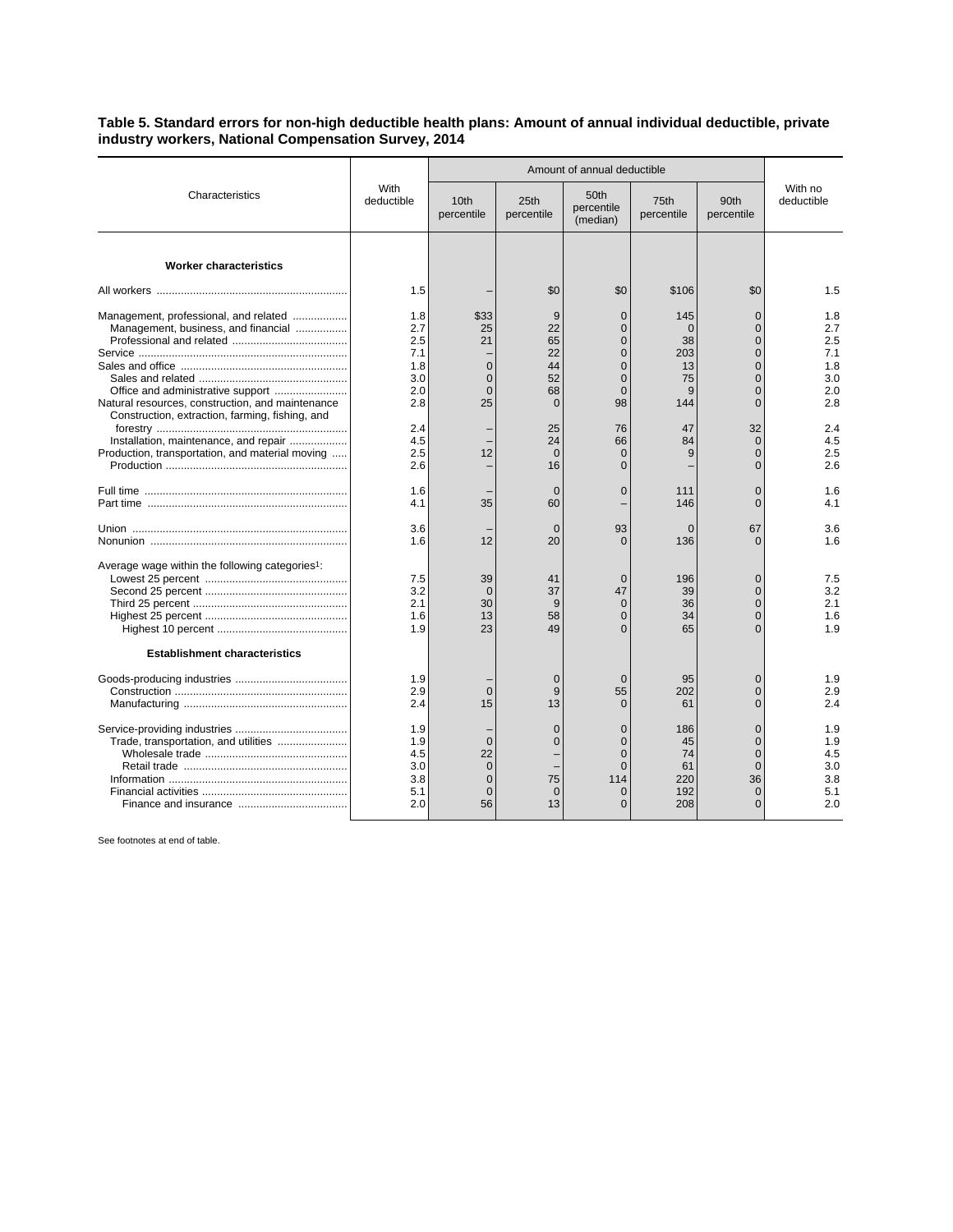## **Table 5. Standard errors for non-high deductible health plans: Amount of annual individual deductible, private industry workers, National Compensation Survey, 2014**

|                                                                                                                                                                                                                          | With<br>deductible                                   | Amount of annual deductible                                   |                                                             |                                                                                                    |                                                      |                                                                                                                      |                                                      |
|--------------------------------------------------------------------------------------------------------------------------------------------------------------------------------------------------------------------------|------------------------------------------------------|---------------------------------------------------------------|-------------------------------------------------------------|----------------------------------------------------------------------------------------------------|------------------------------------------------------|----------------------------------------------------------------------------------------------------------------------|------------------------------------------------------|
| Characteristics                                                                                                                                                                                                          |                                                      | 10 <sub>th</sub><br>percentile                                | 25th<br>percentile                                          | 50th<br>percentile<br>(median)                                                                     | 75th<br>percentile                                   | 90th<br>percentile                                                                                                   | With no<br>deductible                                |
| <b>Worker characteristics</b>                                                                                                                                                                                            |                                                      |                                                               |                                                             |                                                                                                    |                                                      |                                                                                                                      |                                                      |
|                                                                                                                                                                                                                          | 1.5                                                  |                                                               | \$0                                                         | \$0                                                                                                | \$106                                                | \$0                                                                                                                  | 1.5                                                  |
| Management, professional, and related<br>Management, business, and financial<br>Office and administrative support<br>Natural resources, construction, and maintenance<br>Construction, extraction, farming, fishing, and | 1.8<br>2.7<br>2.5<br>7.1<br>1.8<br>3.0<br>2.0<br>2.8 | \$33<br>25<br>21<br>$\Omega$<br>$\mathbf 0$<br>$\Omega$<br>25 | 9<br>22<br>65<br>22<br>44<br>52<br>68<br>$\mathbf 0$        | $\Omega$<br>$\overline{0}$<br>$\overline{0}$<br>$\Omega$<br>$\Omega$<br>$\Omega$<br>$\Omega$<br>98 | 145<br>$\Omega$<br>38<br>203<br>13<br>75<br>9<br>144 | $\Omega$<br>$\overline{0}$<br>$\overline{0}$<br>$\Omega$<br>$\Omega$<br>$\overline{0}$<br>$\Omega$<br>$\overline{0}$ | 1.8<br>2.7<br>2.5<br>7.1<br>1.8<br>3.0<br>2.0<br>2.8 |
| Installation, maintenance, and repair<br>Production, transportation, and material moving                                                                                                                                 | 2.4<br>4.5<br>2.5<br>2.6                             | 12                                                            | 25<br>24<br>$\Omega$<br>16                                  | 76<br>66<br>$\Omega$<br>$\Omega$                                                                   | 47<br>84<br>9                                        | 32<br>$\overline{0}$<br>$\Omega$<br>$\Omega$                                                                         | 2.4<br>4.5<br>2.5<br>2.6                             |
|                                                                                                                                                                                                                          | 1.6<br>4.1                                           | 35                                                            | $\Omega$<br>60                                              | $\Omega$                                                                                           | 111<br>146                                           | $\overline{0}$<br>$\Omega$                                                                                           | 1.6<br>4.1                                           |
|                                                                                                                                                                                                                          | 3.6<br>1.6                                           | 12                                                            | $\mathbf{0}$<br>20                                          | 93<br>$\Omega$                                                                                     | $\Omega$<br>136                                      | 67<br>$\Omega$                                                                                                       | 3.6<br>1.6                                           |
| Average wage within the following categories <sup>1</sup> :                                                                                                                                                              | 7.5<br>3.2<br>2.1<br>1.6<br>1.9                      | 39<br>$\mathbf 0$<br>30<br>13<br>23                           | 41<br>37<br>9<br>58<br>49                                   | $\Omega$<br>47<br>$\Omega$<br>$\overline{0}$<br>$\Omega$                                           | 196<br>39<br>36<br>34<br>65                          | $\overline{0}$<br>$\overline{0}$<br>$\overline{0}$<br>$\overline{0}$<br>$\Omega$                                     | 7.5<br>3.2<br>2.1<br>1.6<br>1.9                      |
| <b>Establishment characteristics</b>                                                                                                                                                                                     |                                                      |                                                               |                                                             |                                                                                                    |                                                      |                                                                                                                      |                                                      |
|                                                                                                                                                                                                                          | 1.9<br>2.9<br>2.4                                    | $\overline{0}$<br>15                                          | $\mathbf 0$<br>9<br>13                                      | $\overline{0}$<br>55<br>$\Omega$                                                                   | 95<br>202<br>61                                      | $\overline{0}$<br>$\overline{0}$<br>$\overline{0}$                                                                   | 1.9<br>2.9<br>2.4                                    |
| Trade, transportation, and utilities                                                                                                                                                                                     | 1.9<br>1.9<br>4.5<br>3.0<br>3.8<br>5.1<br>2.0        | $\Omega$<br>22<br>$\Omega$<br>$\Omega$<br>$\mathbf 0$<br>56   | $\overline{0}$<br>$\overline{0}$<br>75<br>$\mathbf 0$<br>13 | $\overline{0}$<br>$\Omega$<br>$\Omega$<br>$\Omega$<br>114<br>$\mathbf 0$<br>$\Omega$               | 186<br>45<br>74<br>61<br>220<br>192<br>208           | $\overline{0}$<br>$\Omega$<br>$\Omega$<br>$\Omega$<br>36<br>$\mathbf 0$<br>$\Omega$                                  | 1.9<br>1.9<br>4.5<br>3.0<br>3.8<br>5.1<br>2.0        |

See footnotes at end of table.